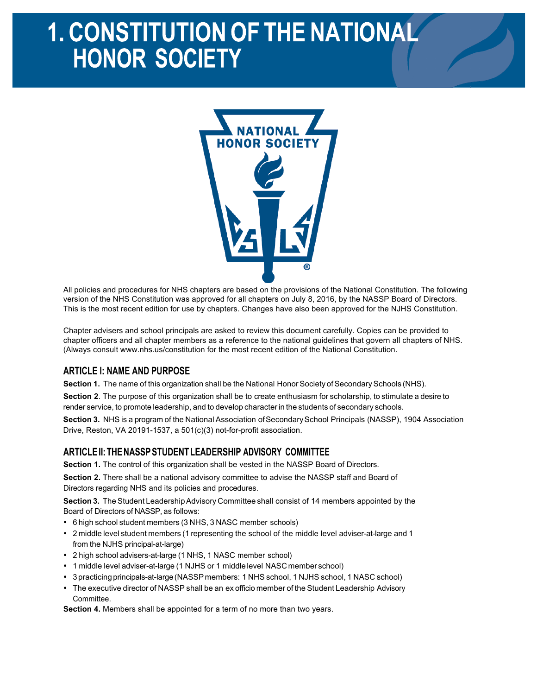# 1. CONSTITUTION OF THE NATIONAL **HONOR SOCIETY**



All policies and procedures for NHS chapters are based on the provisions of the National Constitution. The following version of the NHS Constitution was approved for all chapters on July 8, 2016, by the NASSP Board of Directors. This is the most recent edition for use by chapters. Changes have also been approved for the NJHS Constitution.

Chapter advisers and school principals are asked to review this document carefully. Copies can be provided to chapter officers and all chapter members as a reference to the national guidelines that govern all chapters of NHS. (Always consult www.nhs.us/constitution for the most recent edition of the National Constitution.

# **ARTICLE I: NAME AND PURPOSE**

**Section 1.** The name of this organization shall be the National Honor Society of Secondary Schools (NHS).

**Section 2**. The purpose of this organization shall be to create enthusiasm for scholarship, to stimulate a desire to render service, to promote leadership, and to develop character in the students of secondary schools.

**Section 3.** NHS is a program of the National Association ofSecondarySchool Principals (NASSP), 1904 Association Drive, Reston, VA 20191-1537, a 501(c)(3) not-for-profit association.

#### **ARTICLEII:THENASSPSTUDENTLEADERSHIP ADVISORY COMMITTEE**

**Section 1.** The control of this organization shall be vested in the NASSP Board of Directors.

**Section 2.** There shall be a national advisory committee to advise the NASSP staff and Board of Directors regarding NHS and its policies and procedures.

**Section 3.** The Student Leadership Advisory Committee shall consist of 14 members appointed by the Board of Directors of NASSP, as follows:

- 6 high school student members (3 NHS, 3 NASC member schools)
- 2 middle level student members (1 representing the school of the middle level adviser-at-large and 1 from the NJHS principal-at-large)
- 2 high school advisers-at-large (1 NHS, 1 NASC member school)
- 1 middle level adviser-at-large (1 NJHS or 1 middle level NASC member school)
- 3 practicing principals-at-large(NASSPmembers: 1 NHS school, 1 NJHS school, 1 NASC school)
- The executive director of NASSP shall be an ex officio member of the Student Leadership Advisory Committee.

**Section 4.** Members shall be appointed for a term of no more than two years.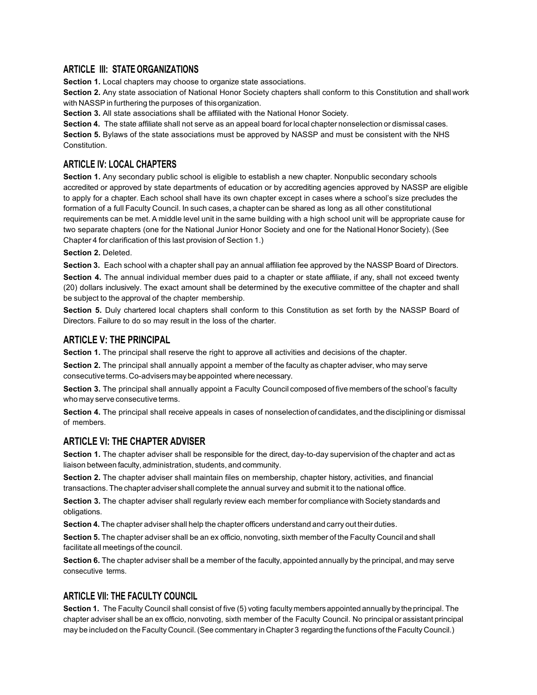# **ARTICLE III: STATE ORGANIZATIONS**

**Section 1.** Local chapters may choose to organize state associations.

**Section 2.** Any state association of National Honor Society chapters shall conform to this Constitution and shall work with NASSP in furthering the purposes of this organization.

**Section 3.** All state associations shall be affiliated with the National Honor Society.

**Section 4.** The state affiliate shall not serve as an appeal board forlocal chapter nonselection or dismissal cases. **Section 5.** Bylaws of the state associations must be approved by NASSP and must be consistent with the NHS Constitution.

# **ARTICLE IV: LOCAL CHAPTERS**

**Section 1.** Any secondary public school is eligible to establish a new chapter. Nonpublic secondary schools accredited or approved by state departments of education or by accrediting agencies approved by NASSP are eligible to apply for a chapter. Each school shall have its own chapter except in cases where a school's size precludes the formation of a full Faculty Council. In such cases, a chapter can be shared as long as all other constitutional requirements can be met. A middle level unit in the same building with a high school unit will be appropriate cause for two separate chapters (one for the National Junior Honor Society and one for the National Honor Society). (See Chapter 4 for clarification of this last provision of Section 1.)

**Section 2.** Deleted.

**Section 3.** Each school with a chapter shall pay an annual affiliation fee approved by the NASSP Board of Directors. **Section 4.** The annual individual member dues paid to a chapter or state affiliate, if any, shall not exceed twenty (20) dollars inclusively. The exact amount shall be determined by the executive committee of the chapter and shall be subject to the approval of the chapter membership.

**Section 5.** Duly chartered local chapters shall conform to this Constitution as set forth by the NASSP Board of Directors. Failure to do so may result in the loss of the charter.

# **ARTICLE V: THE PRINCIPAL**

**Section 1.** The principal shall reserve the right to approve all activities and decisions of the chapter.

**Section 2.** The principal shall annually appoint a member of the faculty as chapter adviser, who may serve consecutiveterms.Co-advisersmaybeappointed where necessary.

**Section 3.** The principal shall annually appoint a Faculty Council composed of five members of the school's faculty who may serve consecutive terms.

**Section 4.** The principal shall receive appeals in cases of nonselection of candidates, and the disciplining or dismissal of members.

#### **ARTICLE VI: THE CHAPTER ADVISER**

**Section 1.** The chapter adviser shall be responsible for the direct, day-to-day supervision of the chapter and act as liaison between faculty, administration, students, and community.

**Section 2.** The chapter adviser shall maintain files on membership, chapter history, activities, and financial transactions.The chapter adviser shall complete the annual survey and submit it to the national office.

**Section 3.** The chapter adviser shall regularly review each member for compliance with Society standards and obligations.

**Section 4.** The chapter adviser shall help the chapter officers understand and carry out their duties.

**Section 5.** The chapter adviser shall be an ex officio, nonvoting, sixth member of the Faculty Council and shall facilitate all meetings of the council.

**Section 6.** The chapter adviser shall be a member of the faculty, appointed annually by the principal, and may serve consecutive terms.

# **ARTICLE VII: THE FACULTY COUNCIL**

**Section 1.** The Faculty Council shall consist of five (5) voting faculty members appointed annually by the principal. The chapter adviser shall be an ex officio, nonvoting, sixth member of the Faculty Council. No principal or assistant principal may be included on the Faculty Council. (See commentary in Chapter 3 regarding the functions of the Faculty Council.)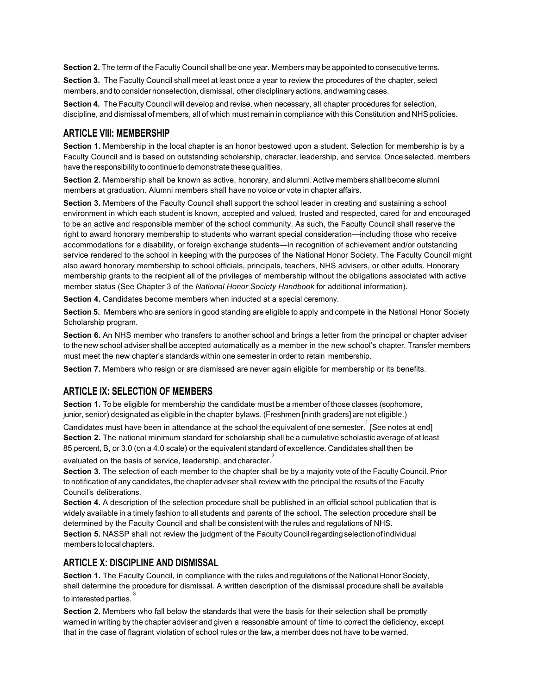**Section 2.** The term of the Faculty Council shall be one year. Members may be appointed to consecutive terms.

**Section 3.** The Faculty Council shall meet at least once a year to review the procedures of the chapter, select members,and to consider nonselection, dismissal, other disciplinary actions, andwarning cases.

**Section 4.** The Faculty Council will develop and revise, when necessary, all chapter procedures for selection, discipline, and dismissal of members, all of which must remain in compliance with this Constitution andNHSpolicies.

#### **ARTICLE VIII: MEMBERSHIP**

**Section 1.** Membership in the local chapter is an honor bestowed upon a student. Selection for membership is by a Faculty Council and is based on outstanding scholarship, character, leadership, and service. Once selected, members have the responsibility to continue to demonstrate these qualities.

**Section 2.** Membership shall be known as active, honorary, and alumni. Active members shall become alumni members at graduation. Alumni members shall have no voice or vote in chapter affairs.

**Section 3.** Members of the Faculty Council shall support the school leader in creating and sustaining a school environment in which each student is known, accepted and valued, trusted and respected, cared for and encouraged to be an active and responsible member of the school community. As such, the Faculty Council shall reserve the right to award honorary membership to students who warrant special consideration—including those who receive accommodations for a disability, or foreign exchange students—in recognition of achievement and/or outstanding service rendered to the school in keeping with the purposes of the National Honor Society. The Faculty Council might also award honorary membership to school officials, principals, teachers, NHS advisers, or other adults. Honorary membership grants to the recipient all of the privileges of membership without the obligations associated with active member status (See Chapter 3 of the *National Honor Society Handbook* for additional information).

**Section 4.** Candidates become members when inducted at a special ceremony.

**Section 5.** Members who are seniors in good standing are eligible to apply and compete in the National Honor Society Scholarship program.

**Section 6.** An NHS member who transfers to another school and brings a letter from the principal or chapter adviser to the new school adviser shall be accepted automatically as a member in the new school's chapter. Transfer members must meet the new chapter's standards within one semester in order to retain membership.

**Section 7.** Members who resign or are dismissed are never again eligible for membership or its benefits.

# **ARTICLE IX: SELECTION OF MEMBERS**

**Section 1.** To be eligible for membership the candidate must be a member of those classes (sophomore, junior, senior) designated as eligible in the chapter bylaws. (Freshmen [ninth graders] are not eligible.)

Candidates must have been in attendance at the school the equivalent of one semester.  $1$  [See notes at end] **Section 2.** The national minimum standard for scholarship shall be a cumulative scholastic average of at least 85 percent, B, or 3.0 (on a 4.0 scale) or the equivalent standard of excellence. Candidates shall then be

evaluated on the basis of service, leadership, and character.<sup>2</sup>

**Section 3.** The selection of each member to the chapter shall be by a majority vote of the Faculty Council. Prior to notification of any candidates, the chapter adviser shall review with the principal the results of the Faculty Council's deliberations.

**Section 4.** A description of the selection procedure shall be published in an official school publication that is widely available in a timely fashion to all students and parents of the school. The selection procedure shall be determined by the Faculty Council and shall be consistent with the rules and regulations of NHS. **Section 5.** NASSP shall not review the judgment of the Faculty Councilregardingselection of individual members tolocal chapters.

#### **ARTICLE X: DISCIPLINE AND DISMISSAL**

**Section 1.** The Faculty Council, in compliance with the rules and regulations of the National Honor Society, shall determine the procedure for dismissal. A written description of the dismissal procedure shall be available to interested parties.

**Section 2.** Members who fall below the standards that were the basis for their selection shall be promptly warned in writing by the chapter adviser and given a reasonable amount of time to correct the deficiency, except that in the case of flagrant violation of school rules or the law, a member does not have to be warned.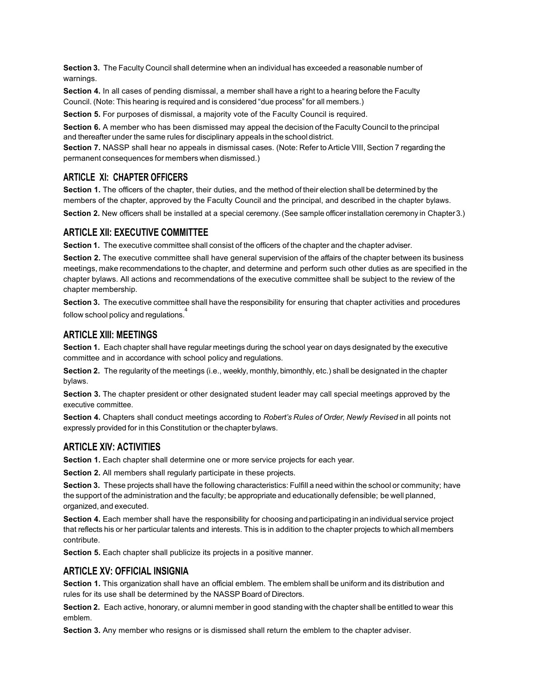**Section 3.** The Faculty Council shall determine when an individual has exceeded a reasonable number of warnings.

**Section 4.** In all cases of pending dismissal, a member shall have a right to a hearing before the Faculty Council. (Note: This hearing is required and is considered "due process" for all members.)

**Section 5.** For purposes of dismissal, a majority vote of the Faculty Council is required.

**Section 6.** A member who has been dismissed may appeal the decision of the Faculty Council to the principal and thereafter under the same rules for disciplinary appeals in the school district.

**Section 7.** NASSP shall hear no appeals in dismissal cases. (Note: Refer to Article VIII, Section 7 regarding the permanent consequences for members when dismissed.)

# **ARTICLE XI: CHAPTER OFFICERS**

**Section 1.** The officers of the chapter, their duties, and the method of their election shall be determined by the members of the chapter, approved by the Faculty Council and the principal, and described in the chapter bylaws. **Section 2.** New officers shall be installed at a special ceremony.(See sample officer installation ceremony in Chapter3.)

## **ARTICLE XII: EXECUTIVE COMMITTEE**

**Section 1.** The executive committee shall consist of the officers of the chapter and the chapter adviser.

**Section 2.** The executive committee shall have general supervision of the affairs of the chapter between its business meetings, make recommendations to the chapter, and determine and perform such other duties as are specified in the chapter bylaws. All actions and recommendations of the executive committee shall be subject to the review of the chapter membership.

**Section 3.** The executive committee shall have the responsibility for ensuring that chapter activities and procedures follow school policy and regulations.<sup>4</sup>

## **ARTICLE XIII: MEETINGS**

**Section 1.** Each chapter shall have regular meetings during the school year on days designated by the executive committee and in accordance with school policy and regulations.

**Section 2.** The regularity of the meetings (i.e., weekly, monthly, bimonthly, etc.) shall be designated in the chapter bylaws.

**Section 3.** The chapter president or other designated student leader may call special meetings approved by the executive committee.

**Section 4.** Chapters shall conduct meetings according to *Robert's Rules of Order, Newly Revised* in all points not expressly provided for in this Constitution or thechapterbylaws.

# **ARTICLE XIV: ACTIVITIES**

**Section 1.** Each chapter shall determine one or more service projects for each year.

**Section 2.** All members shall regularly participate in these projects.

**Section 3.** These projects shall have the following characteristics: Fulfill a need within the school or community; have the support of the administration and the faculty; be appropriate and educationally defensible; be well planned, organized, and executed.

**Section 4.** Each member shall have the responsibility for choosing and participating in an individual service project that reflects his or her particular talents and interests. This is in addition to the chapter projects to which all members contribute.

**Section 5.** Each chapter shall publicize its projects in a positive manner.

# **ARTICLE XV: OFFICIAL INSIGNIA**

**Section 1.** This organization shall have an official emblem. The emblem shall be uniform and its distribution and rules for its use shall be determined by the NASSP Board of Directors.

**Section 2.** Each active, honorary, or alumni member in good standing with the chapter shall be entitled to wear this emblem.

**Section 3.** Any member who resigns or is dismissed shall return the emblem to the chapter adviser.